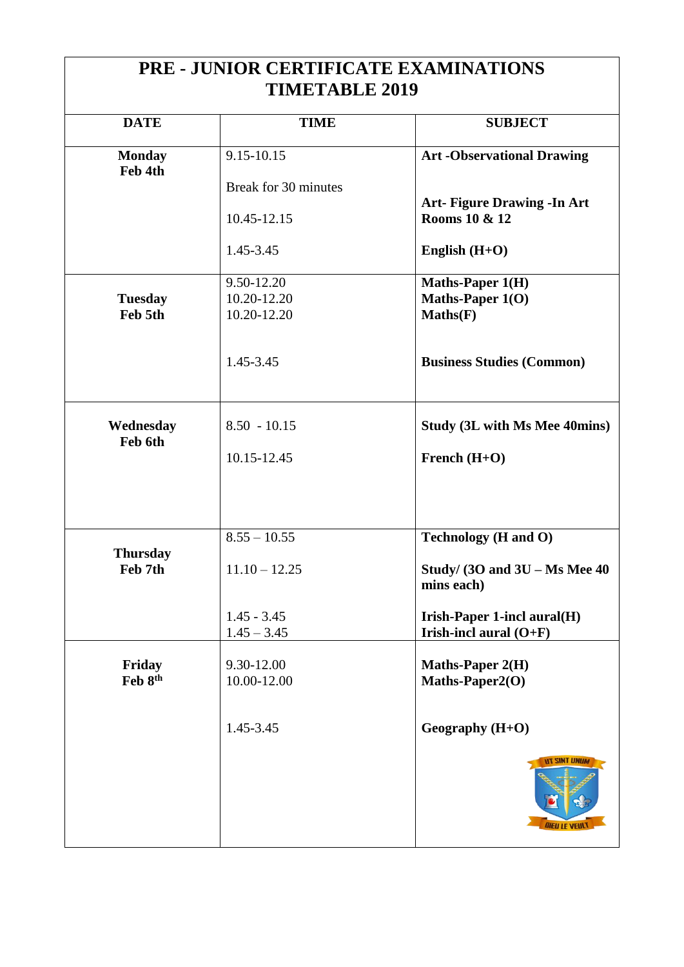| PRE - JUNIOR CERTIFICATE EXAMINATIONS |                      |                                                          |  |  |
|---------------------------------------|----------------------|----------------------------------------------------------|--|--|
| <b>TIMETABLE 2019</b>                 |                      |                                                          |  |  |
|                                       |                      |                                                          |  |  |
| <b>DATE</b>                           | <b>TIME</b>          | <b>SUBJECT</b>                                           |  |  |
|                                       | 9.15-10.15           |                                                          |  |  |
| <b>Monday</b><br>Feb 4th              |                      | <b>Art -Observational Drawing</b>                        |  |  |
|                                       | Break for 30 minutes |                                                          |  |  |
|                                       |                      | <b>Art- Figure Drawing - In Art</b>                      |  |  |
|                                       | 10.45-12.15          | Rooms 10 & 12                                            |  |  |
|                                       |                      |                                                          |  |  |
|                                       | 1.45-3.45            | English $(H+O)$                                          |  |  |
|                                       | 9.50-12.20           | <b>Maths-Paper 1(H)</b>                                  |  |  |
| <b>Tuesday</b>                        | 10.20-12.20          | Maths-Paper 1(O)                                         |  |  |
| Feb 5th                               | 10.20-12.20          | Maths(F)                                                 |  |  |
|                                       |                      |                                                          |  |  |
|                                       |                      |                                                          |  |  |
|                                       | 1.45-3.45            | <b>Business Studies (Common)</b>                         |  |  |
|                                       |                      |                                                          |  |  |
|                                       |                      |                                                          |  |  |
| Wednesday                             | $8.50 - 10.15$       | <b>Study (3L with Ms Mee 40mins)</b>                     |  |  |
| Feb 6th                               |                      |                                                          |  |  |
|                                       | 10.15-12.45          | French $(H+O)$                                           |  |  |
|                                       |                      |                                                          |  |  |
|                                       |                      |                                                          |  |  |
|                                       |                      |                                                          |  |  |
|                                       | $8.55 - 10.55$       | <b>Technology</b> ( <b>H</b> and O)                      |  |  |
| <b>Thursday</b>                       |                      |                                                          |  |  |
| Feb 7th                               | $11.10 - 12.25$      | Study/ $(30 \text{ and } 3U - \text{Ms} \text{Mee } 40)$ |  |  |
|                                       |                      | mins each)                                               |  |  |
|                                       | $1.45 - 3.45$        | Irish-Paper 1-incl aural(H)                              |  |  |
|                                       | $1.45 - 3.45$        | Irish-incl aural $(O+F)$                                 |  |  |
|                                       |                      |                                                          |  |  |
| Friday                                | 9.30-12.00           | <b>Maths-Paper 2(H)</b>                                  |  |  |
| Feb 8th                               | 10.00-12.00          | Maths-Paper2(O)                                          |  |  |
|                                       |                      |                                                          |  |  |
|                                       | 1.45-3.45            | Geography (H+O)                                          |  |  |
|                                       |                      |                                                          |  |  |
|                                       |                      | <b>NT SINT UNIJA</b><br><b><i>DIEU LE VEUL</i></b>       |  |  |
|                                       |                      |                                                          |  |  |